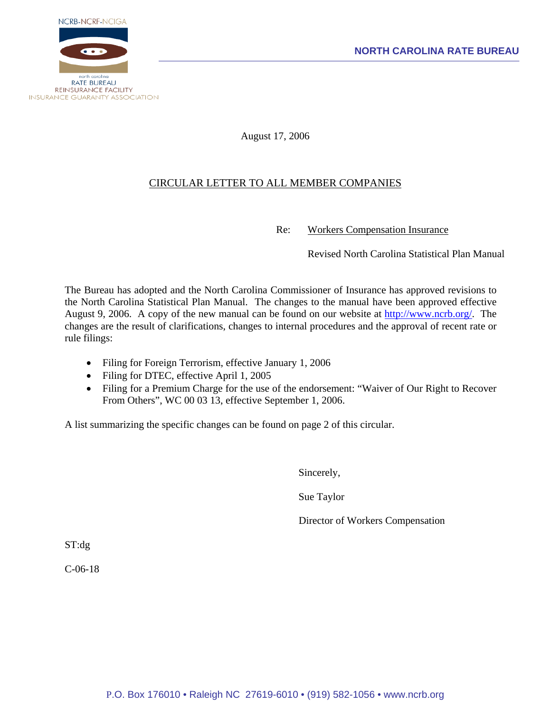

August 17, 2006

## CIRCULAR LETTER TO ALL MEMBER COMPANIES

Re: Workers Compensation Insurance

Revised North Carolina Statistical Plan Manual

The Bureau has adopted and the North Carolina Commissioner of Insurance has approved revisions to the North Carolina Statistical Plan Manual. The changes to the manual have been approved effective August 9, 2006. A copy of the new manual can be found on our website at [http://www.ncrb.org/.](http://www.ncrb.org/) The changes are the result of clarifications, changes to internal procedures and the approval of recent rate or rule filings:

- Filing for Foreign Terrorism, effective January 1, 2006
- Filing for DTEC, effective April 1, 2005
- Filing for a Premium Charge for the use of the endorsement: "Waiver of Our Right to Recover From Others", WC 00 03 13, effective September 1, 2006.

A list summarizing the specific changes can be found on page 2 of this circular.

Sincerely,

Sue Taylor

Director of Workers Compensation

ST:dg

C-06-18